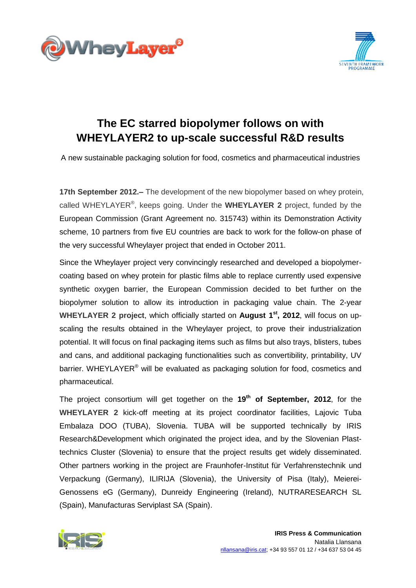



## **The EC starred biopolymer follows on with WHEYLAYER2 to up-scale successful R&D results**

A new sustainable packaging solution for food, cosmetics and pharmaceutical industries

**17th September 2012.–** The development of the new biopolymer based on whey protein, called WHEYLAYER® , keeps going. Under the **WHEYLAYER 2** project, funded by the European Commission (Grant Agreement no. 315743) within its Demonstration Activity scheme, 10 partners from five EU countries are back to work for the follow-on phase of the very successful Wheylayer project that ended in October 2011.

Since the Wheylayer project very convincingly researched and developed a biopolymercoating based on whey protein for plastic films able to replace currently used expensive synthetic oxygen barrier, the European Commission decided to bet further on the biopolymer solution to allow its introduction in packaging value chain. The 2-year **WHEYLAYER 2 project**, which officially started on **August 1st, 2012**, will focus on upscaling the results obtained in the Wheylayer project, to prove their industrialization potential. It will focus on final packaging items such as films but also trays, blisters, tubes and cans, and additional packaging functionalities such as convertibility, printability, UV barrier. WHEYLAYER<sup>®</sup> will be evaluated as packaging solution for food, cosmetics and pharmaceutical.

The project consortium will get together on the **19th of September, 2012**, for the **WHEYLAYER 2** kick-off meeting at its project coordinator facilities, Lajovic Tuba Embalaza DOO (TUBA), Slovenia. TUBA will be supported technically by IRIS Research&Development which originated the project idea, and by the [Slovenian Plast](http://www.giz-grozd-plasttehnika.si/English/Index.html)[technics Cluster](http://www.giz-grozd-plasttehnika.si/English/Index.html) (Slovenia) to ensure that the project results get widely disseminated. Other partners working in the project are Fraunhofer-Institut für Verfahrenstechnik und Verpackung (Germany), ILIRIJA (Slovenia), the [University of Pisa](http://www.unipi.it/english/index.htm) (Italy), Meierei-Genossens eG (Germany), Dunreidy [Engineering \(Ireland\), NUTRARESEARCH SL](http://www.dunreidy.com/) (Spain), Manufacturas Serviplast SA (Spain).